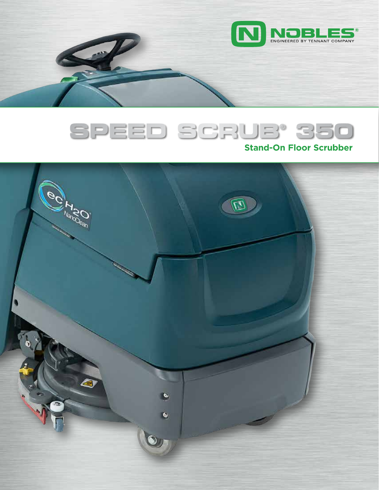



# **Stand-On Floor Scrubber**

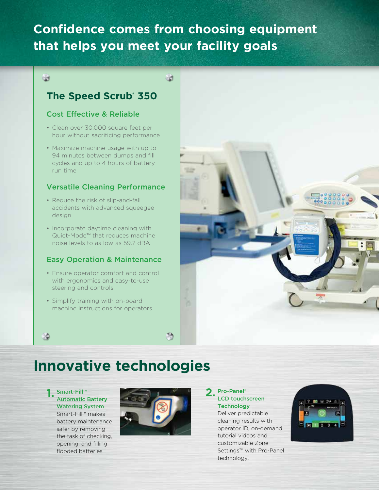# **Confidence comes from choosing equipment that helps you meet your facility goals**

## $\bigoplus$

# **The Speed Scrub® 350**

# Cost Effective & Reliable

- Clean over 30,000 square feet per hour without sacrificing performance
- Maximize machine usage with up to 94 minutes between dumps and fill cycles and up to 4 hours of battery run time

## Versatile Cleaning Performance

- Reduce the risk of slip-and-fall accidents with advanced squeegee design
- Incorporate daytime cleaning with Quiet-Mode™ that reduces machine noise levels to as low as 59.7 dBA

## Easy Operation & Maintenance

- Ensure operator comfort and control with ergonomics and easy-to-use steering and controls
- Simplify training with on-board machine instructions for operators



# **Innovative technologies**

#### Smart-Fill™ Automatic Battery Watering System Smart-Fill™ makes battery maintenance safer by removing the task of checking, opening, and filling flooded batteries.



#### LCD touchscreen **Technology 2.**

Deliver predictable cleaning results with operator ID, on-demand tutorial videos and customizable Zone Settings™ with Pro-Panel technology.

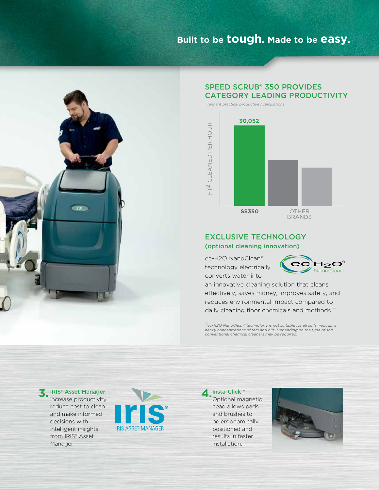# **Built to be tough. Made to be easy.**

*Tennant practical productivity calculations*



## SPEED SCRUB® 350 PROVIDES CATEGORY LEADING PRODUCTIVITY



### EXCLUSIVE TECHNOLOGY (optional cleaning innovation)

ec-H2O NanoClean® technology electrically converts water into



an innovative cleaning solution that cleans effectively, saves money, improves safety, and reduces environmental impact compared to daily cleaning floor chemicals and methods.<sup>+</sup>

*+ec-H2O NanoClean® technology is not suitable for all soils, including heavy concentrations of fats and oils. Depending on the type of soil, conventional chemical cleaners may be required.*

Increase productivity, reduce cost to clean and make informed decisions with intelligent insights from IRIS® Asset Manager.



Optional magnetic head allows pads and brushes to be ergonomically positioned and results in faster installation. ▲ Insta-Click™